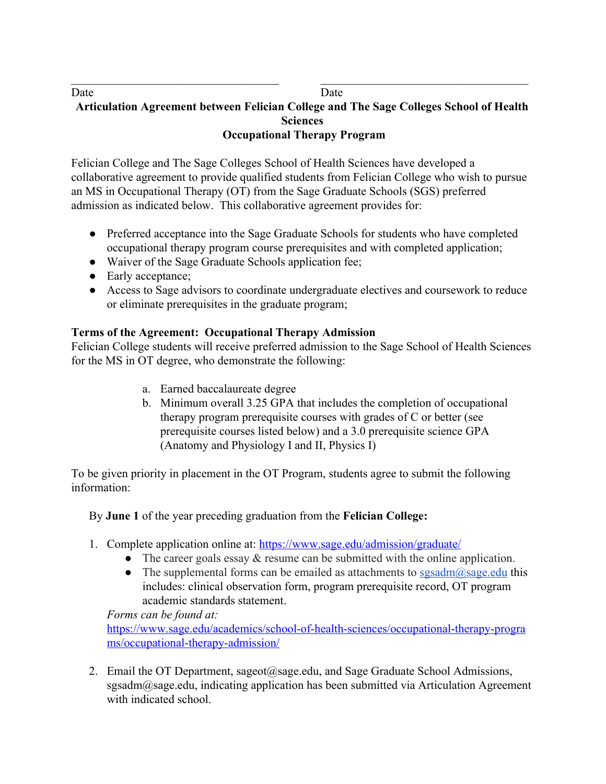## Date Date Date **Articulation Agreement between Felician College and The Sage Colleges School of Health Sciences Occupational Therapy Program**

 $\mathcal{L}_\text{max}$  , and the contribution of the contribution of the contribution of the contribution of the contribution of the contribution of the contribution of the contribution of the contribution of the contribution of t

Felician College and The Sage Colleges School of Health Sciences have developed a collaborative agreement to provide qualified students from Felician College who wish to pursue an MS in Occupational Therapy (OT) from the Sage Graduate Schools (SGS) preferred admission as indicated below. This collaborative agreement provides for:

- Preferred acceptance into the Sage Graduate Schools for students who have completed occupational therapy program course prerequisites and with completed application;
- Waiver of the Sage Graduate Schools application fee;
- Early acceptance;
- Access to Sage advisors to coordinate undergraduate electives and coursework to reduce or eliminate prerequisites in the graduate program;

## **Terms of the Agreement: Occupational Therapy Admission**

Felician College students will receive preferred admission to the Sage School of Health Sciences for the MS in OT degree, who demonstrate the following:

- a. Earned baccalaureate degree
- b. Minimum overall 3.25 GPA that includes the completion of occupational therapy program prerequisite courses with grades of C or better (see prerequisite courses listed below) and a 3.0 prerequisite science GPA (Anatomy and Physiology I and II, Physics I)

To be given priority in placement in the OT Program, students agree to submit the following information:

By **June 1** of the year preceding graduation from the **Felician College:**

- 1. Complete application online at: <https://www.sage.edu/admission/graduate/>
	- The career goals essay  $&$  resume can be submitted with the online application.
	- The supplemental forms can be emailed as attachments to  $sgsadm@sage.edu$  this includes: clinical observation form, program prerequisite record, OT program academic standards statement.

*Forms can be found at:*

[https://www.sage.edu/academics/school-of-health-sciences/occupational-therapy-progra](https://www.sage.edu/academics/school-of-health-sciences/occupational-therapy-programs/occupational-therapy-admission/) [ms/occupational-therapy-admission/](https://www.sage.edu/academics/school-of-health-sciences/occupational-therapy-programs/occupational-therapy-admission/)

2. Email the OT Department, sageot@sage.edu, and Sage Graduate School Admissions, sgsadm@sage.edu, indicating application has been submitted via Articulation Agreement with indicated school.